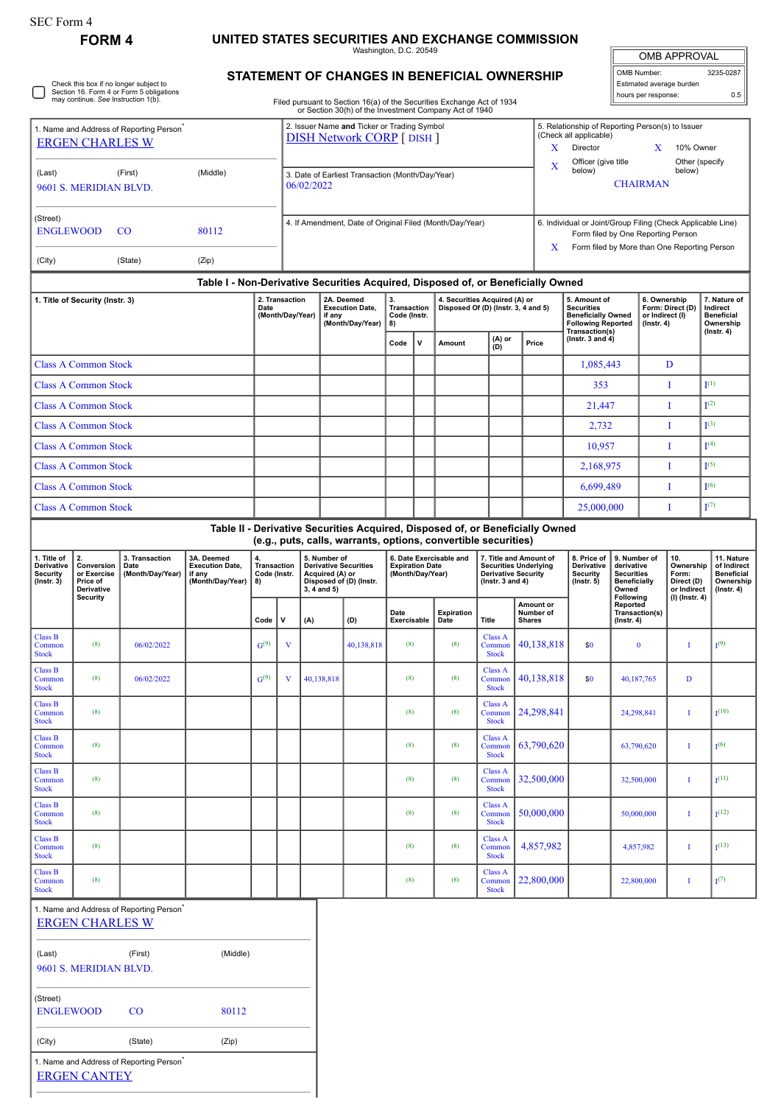## **FORM 4 UNITED STATES SECURITIES AND EXCHANGE COMMISSION**

Washington, D.C. 20549

| <b>OMB APPROVAL</b> |           |  |  |  |  |  |
|---------------------|-----------|--|--|--|--|--|
| OMB Number:         | 3235-0287 |  |  |  |  |  |

Estimated average burden hours per response: 0.5

 $\overline{\mathbb{F}}$ 

**STATEMENT OF CHANGES IN BENEFICIAL OWNERSHIP**

Check this box if no longer subject to Section 16. Form 4 or Form 5 obligations may continue. *See* Instruction 1(b).

[ERGEN CANTEY](http://www.sec.gov/cgi-bin/browse-edgar?action=getcompany&CIK=0001138538)

 $\overline{a}$ 

Filed pursuant to Section 16(a) of the Securities Exchange Act of 1934 or Section 30(h) of the Investment Company Act of 1940

| 1. Name and Address of Reporting Person<br><b>ERGEN CHARLES W</b><br>(Middle)<br>(Last)<br>(First)<br>9601 S. MERIDIAN BLVD. |                                                           |                                                      |                                                                                  |                                         | 2. Issuer Name and Ticker or Trading Symbol<br><b>DISH Network CORP</b> [ DISH ]<br>3. Date of Earliest Transaction (Month/Day/Year)<br>06/02/2022 |                                                                    |                                                                                                                                                 |                                                                       |                                                                      |                    | X<br>$\mathbf x$                                                                                              | 5. Relationship of Reporting Person(s) to Issuer<br>(Check all applicable)<br>Director<br>10% Owner<br>X<br>Officer (give title<br>Other (specify<br>below)<br>below)<br><b>CHAIRMAN</b> |                                                                                                                                                        |                                                     |                                  |                                                                                |                                                                                 |  |  |
|------------------------------------------------------------------------------------------------------------------------------|-----------------------------------------------------------|------------------------------------------------------|----------------------------------------------------------------------------------|-----------------------------------------|----------------------------------------------------------------------------------------------------------------------------------------------------|--------------------------------------------------------------------|-------------------------------------------------------------------------------------------------------------------------------------------------|-----------------------------------------------------------------------|----------------------------------------------------------------------|--------------------|---------------------------------------------------------------------------------------------------------------|------------------------------------------------------------------------------------------------------------------------------------------------------------------------------------------|--------------------------------------------------------------------------------------------------------------------------------------------------------|-----------------------------------------------------|----------------------------------|--------------------------------------------------------------------------------|---------------------------------------------------------------------------------|--|--|
| (Street)<br><b>ENGLEWOOD</b>                                                                                                 |                                                           | <b>CO</b>                                            | 80112                                                                            |                                         | 4. If Amendment, Date of Original Filed (Month/Day/Year)                                                                                           |                                                                    |                                                                                                                                                 |                                                                       |                                                                      |                    |                                                                                                               |                                                                                                                                                                                          | 6. Individual or Joint/Group Filing (Check Applicable Line)<br>Form filed by One Reporting Person<br>Form filed by More than One Reporting Person<br>X |                                                     |                                  |                                                                                |                                                                                 |  |  |
| (City)<br>(State)<br>(Zip)                                                                                                   |                                                           |                                                      |                                                                                  |                                         |                                                                                                                                                    |                                                                    |                                                                                                                                                 |                                                                       |                                                                      |                    |                                                                                                               |                                                                                                                                                                                          |                                                                                                                                                        |                                                     |                                  |                                                                                |                                                                                 |  |  |
|                                                                                                                              |                                                           |                                                      | Table I - Non-Derivative Securities Acquired, Disposed of, or Beneficially Owned |                                         |                                                                                                                                                    |                                                                    |                                                                                                                                                 |                                                                       |                                                                      |                    |                                                                                                               |                                                                                                                                                                                          |                                                                                                                                                        |                                                     |                                  |                                                                                |                                                                                 |  |  |
| 1. Title of Security (Instr. 3)                                                                                              |                                                           |                                                      | Date                                                                             | 2. Transaction<br>(Month/Day/Year)      |                                                                                                                                                    | 2A. Deemed<br><b>Execution Date,</b><br>if any<br>(Month/Day/Year) |                                                                                                                                                 | Transaction<br>Code (Instr.                                           | 4. Securities Acquired (A) or<br>Disposed Of (D) (Instr. 3, 4 and 5) |                    |                                                                                                               | 5. Amount of<br><b>Securities</b><br><b>Beneficially Owned</b><br><b>Following Reported</b><br>Transaction(s)                                                                            |                                                                                                                                                        | 6. Ownership<br>or Indirect (I)<br>$($ Instr. 4 $)$ | Form: Direct (D)                 | 7. Nature of<br>Indirect<br><b>Beneficial</b><br>Ownership<br>$($ lnstr. 4 $)$ |                                                                                 |  |  |
|                                                                                                                              |                                                           |                                                      |                                                                                  |                                         |                                                                                                                                                    |                                                                    |                                                                                                                                                 | Code                                                                  | $\mathsf{v}$                                                         | Amount             | (A) or<br>(D)                                                                                                 | Price                                                                                                                                                                                    | ( $lnstr. 3 and 4$ )                                                                                                                                   |                                                     |                                  |                                                                                |                                                                                 |  |  |
|                                                                                                                              | <b>Class A Common Stock</b>                               |                                                      |                                                                                  |                                         |                                                                                                                                                    |                                                                    |                                                                                                                                                 |                                                                       |                                                                      |                    |                                                                                                               |                                                                                                                                                                                          | 1,085,443                                                                                                                                              |                                                     |                                  | D                                                                              |                                                                                 |  |  |
|                                                                                                                              | <b>Class A Common Stock</b>                               |                                                      |                                                                                  |                                         |                                                                                                                                                    |                                                                    |                                                                                                                                                 |                                                                       |                                                                      |                    |                                                                                                               |                                                                                                                                                                                          | 353                                                                                                                                                    |                                                     |                                  | I                                                                              | I <sup>(1)</sup>                                                                |  |  |
|                                                                                                                              | <b>Class A Common Stock</b>                               |                                                      |                                                                                  |                                         |                                                                                                                                                    |                                                                    |                                                                                                                                                 |                                                                       |                                                                      |                    |                                                                                                               |                                                                                                                                                                                          | 21,447                                                                                                                                                 |                                                     |                                  | Ι                                                                              | I <sup>(2)</sup>                                                                |  |  |
|                                                                                                                              | <b>Class A Common Stock</b>                               |                                                      |                                                                                  |                                         |                                                                                                                                                    |                                                                    |                                                                                                                                                 |                                                                       |                                                                      |                    |                                                                                                               |                                                                                                                                                                                          | 2,732                                                                                                                                                  |                                                     |                                  | $\bf{I}$                                                                       | $I^{(3)}$                                                                       |  |  |
|                                                                                                                              | <b>Class A Common Stock</b>                               |                                                      |                                                                                  |                                         |                                                                                                                                                    |                                                                    |                                                                                                                                                 |                                                                       |                                                                      |                    |                                                                                                               |                                                                                                                                                                                          | 10,957                                                                                                                                                 |                                                     | I                                |                                                                                | I <sup>(4)</sup>                                                                |  |  |
|                                                                                                                              | <b>Class A Common Stock</b>                               |                                                      |                                                                                  |                                         |                                                                                                                                                    |                                                                    |                                                                                                                                                 |                                                                       |                                                                      |                    |                                                                                                               |                                                                                                                                                                                          | 2,168,975                                                                                                                                              |                                                     |                                  | I<br>$\bf{I}$                                                                  | I <sup>(5)</sup>                                                                |  |  |
|                                                                                                                              | <b>Class A Common Stock</b>                               |                                                      |                                                                                  |                                         |                                                                                                                                                    |                                                                    |                                                                                                                                                 |                                                                       |                                                                      |                    |                                                                                                               |                                                                                                                                                                                          | 6,699,489                                                                                                                                              |                                                     |                                  |                                                                                | I <sup>(6)</sup><br>$I^{(7)}$                                                   |  |  |
|                                                                                                                              | <b>Class A Common Stock</b>                               |                                                      |                                                                                  |                                         |                                                                                                                                                    |                                                                    |                                                                                                                                                 |                                                                       |                                                                      |                    |                                                                                                               |                                                                                                                                                                                          | 25,000,000                                                                                                                                             |                                                     |                                  | I                                                                              |                                                                                 |  |  |
|                                                                                                                              |                                                           |                                                      |                                                                                  |                                         |                                                                                                                                                    |                                                                    | Table II - Derivative Securities Acquired, Disposed of, or Beneficially Owned<br>(e.g., puts, calls, warrants, options, convertible securities) |                                                                       |                                                                      |                    |                                                                                                               |                                                                                                                                                                                          |                                                                                                                                                        |                                                     |                                  |                                                                                |                                                                                 |  |  |
| 1. Title of<br>Derivative<br><b>Security</b><br>$($ Instr. 3 $)$                                                             | 2.<br>Conversion<br>or Exercise<br>Price of<br>Derivative | 3. Transaction<br>Date<br>(Month/Day/Year)           | 3A. Deemed<br><b>Execution Date,</b><br>if any<br>(Month/Day/Year)               | 4.<br>Transaction<br>Code (Instr.<br>8) |                                                                                                                                                    | 5. Number of<br>Acquired (A) or<br>3, 4 and 5)                     | <b>Derivative Securities</b><br>Disposed of (D) (Instr.                                                                                         | 6. Date Exercisable and<br><b>Expiration Date</b><br>(Month/Day/Year) |                                                                      |                    | 7. Title and Amount of<br><b>Securities Underlying</b><br><b>Derivative Security</b><br>(Instr. $3$ and $4$ ) |                                                                                                                                                                                          | 8. Price of<br>Derivative<br>derivative<br><b>Securities</b><br><b>Security</b><br>$($ Instr. 5 $)$<br><b>Beneficially</b><br>Owned                    |                                                     | 9. Number of                     | 10.<br>Ownership<br>Form:<br>Direct (D)<br>or Indirect                         | 11. Nature<br>of Indirect<br><b>Beneficial</b><br>Ownership<br>$($ lnstr. 4 $)$ |  |  |
|                                                                                                                              | <b>Security</b>                                           |                                                      |                                                                                  | Code                                    | v                                                                                                                                                  | (A)                                                                | (D)                                                                                                                                             | Date<br>Exercisable                                                   |                                                                      | Expiration<br>Date | <b>Title</b>                                                                                                  | Amount or<br>Number of<br><b>Shares</b>                                                                                                                                                  | Following<br>Reported<br>$($ Instr. 4 $)$                                                                                                              |                                                     | (I) (Instr. 4)<br>Transaction(s) |                                                                                |                                                                                 |  |  |
| <b>Class B</b><br>Common<br><b>Stock</b>                                                                                     | (8)                                                       | 06/02/2022                                           |                                                                                  | G <sup>(9)</sup>                        | V                                                                                                                                                  |                                                                    | 40,138,818                                                                                                                                      | (8)                                                                   |                                                                      | (8)                | <b>Class A</b><br>Common<br><b>Stock</b>                                                                      | 40,138,818                                                                                                                                                                               | \$0<br>$\bf{0}$                                                                                                                                        |                                                     |                                  | Т                                                                              | $I^{(9)}$                                                                       |  |  |
| <b>Class B</b><br>Common<br><b>Stock</b>                                                                                     | (8)                                                       | 06/02/2022                                           |                                                                                  | G <sup>(9)</sup>                        | v                                                                                                                                                  | 40,138,818                                                         |                                                                                                                                                 | (8)                                                                   |                                                                      | (8)                | Class A<br>Common<br><b>Stock</b>                                                                             | 40,138,818                                                                                                                                                                               | \$0                                                                                                                                                    |                                                     | 40,187,765                       | D                                                                              |                                                                                 |  |  |
| Class B<br>Common<br><b>Stock</b>                                                                                            | (8)                                                       |                                                      |                                                                                  |                                         |                                                                                                                                                    |                                                                    |                                                                                                                                                 | (8)                                                                   |                                                                      | (8)                | Class A<br>Common<br><b>Stock</b>                                                                             | 24,298,841                                                                                                                                                                               |                                                                                                                                                        |                                                     | 24,298,841                       | $\bf{I}$                                                                       | $I^{(10)}$                                                                      |  |  |
| <b>Class B</b><br>Common<br><b>Stock</b>                                                                                     | (8)                                                       |                                                      |                                                                                  |                                         |                                                                                                                                                    |                                                                    |                                                                                                                                                 | (8)                                                                   |                                                                      | (8)                | <b>Class A</b><br>Common<br><b>Stock</b>                                                                      | 63,790,620                                                                                                                                                                               |                                                                                                                                                        |                                                     | 63,790,620                       | Т                                                                              | I <sub>(6)</sub>                                                                |  |  |
| <b>Class B</b><br>Common<br><b>Stock</b>                                                                                     | (8)                                                       |                                                      |                                                                                  |                                         |                                                                                                                                                    |                                                                    |                                                                                                                                                 | (8)                                                                   |                                                                      | (8)                | <b>Class A</b><br>Common<br><b>Stock</b>                                                                      | 32,500,000                                                                                                                                                                               |                                                                                                                                                        |                                                     | 32,500,000                       | Ι                                                                              | I <sup>(11)</sup>                                                               |  |  |
| <b>Class B</b><br>Common<br><b>Stock</b>                                                                                     | (8)                                                       |                                                      |                                                                                  |                                         |                                                                                                                                                    |                                                                    |                                                                                                                                                 | (8)                                                                   |                                                                      | (8)                | <b>Class A</b><br>Common<br><b>Stock</b>                                                                      | 50,000,000                                                                                                                                                                               |                                                                                                                                                        | 50,000,000                                          |                                  | Ι                                                                              | $I^{(12)}$                                                                      |  |  |
| <b>Class B</b><br>Common<br><b>Stock</b>                                                                                     | (8)                                                       |                                                      |                                                                                  |                                         |                                                                                                                                                    |                                                                    |                                                                                                                                                 | (8)                                                                   |                                                                      | (8)                | <b>Class A</b><br>Common<br><b>Stock</b>                                                                      | 4,857,982                                                                                                                                                                                |                                                                                                                                                        |                                                     | 4,857,982                        | $\bf{I}$                                                                       | $I^{(13)}$                                                                      |  |  |
| <b>Class B</b><br>Common<br><b>Stock</b>                                                                                     | (8)                                                       |                                                      |                                                                                  |                                         |                                                                                                                                                    |                                                                    |                                                                                                                                                 | (8)                                                                   |                                                                      | (8)                | <b>Class A</b><br>Common<br><b>Stock</b>                                                                      | 22,800,000                                                                                                                                                                               |                                                                                                                                                        |                                                     | 22,800,000                       | Ι                                                                              | $I^{(7)}$                                                                       |  |  |
|                                                                                                                              | <b>ERGEN CHARLES W</b>                                    | 1. Name and Address of Reporting Person <sup>®</sup> |                                                                                  |                                         |                                                                                                                                                    |                                                                    |                                                                                                                                                 |                                                                       |                                                                      |                    |                                                                                                               |                                                                                                                                                                                          |                                                                                                                                                        |                                                     |                                  |                                                                                |                                                                                 |  |  |
| (Last)                                                                                                                       | 9601 S. MERIDIAN BLVD.                                    | (First)                                              | (Middle)                                                                         |                                         |                                                                                                                                                    |                                                                    |                                                                                                                                                 |                                                                       |                                                                      |                    |                                                                                                               |                                                                                                                                                                                          |                                                                                                                                                        |                                                     |                                  |                                                                                |                                                                                 |  |  |
| (Street)<br><b>ENGLEWOOD</b>                                                                                                 |                                                           | CO                                                   | 80112                                                                            |                                         |                                                                                                                                                    |                                                                    |                                                                                                                                                 |                                                                       |                                                                      |                    |                                                                                                               |                                                                                                                                                                                          |                                                                                                                                                        |                                                     |                                  |                                                                                |                                                                                 |  |  |
| (State)<br>(Zip)<br>(City)                                                                                                   |                                                           |                                                      |                                                                                  |                                         |                                                                                                                                                    |                                                                    |                                                                                                                                                 |                                                                       |                                                                      |                    |                                                                                                               |                                                                                                                                                                                          |                                                                                                                                                        |                                                     |                                  |                                                                                |                                                                                 |  |  |
|                                                                                                                              |                                                           | 1. Name and Address of Reporting Person <sup>®</sup> |                                                                                  |                                         |                                                                                                                                                    |                                                                    |                                                                                                                                                 |                                                                       |                                                                      |                    |                                                                                                               |                                                                                                                                                                                          |                                                                                                                                                        |                                                     |                                  |                                                                                |                                                                                 |  |  |